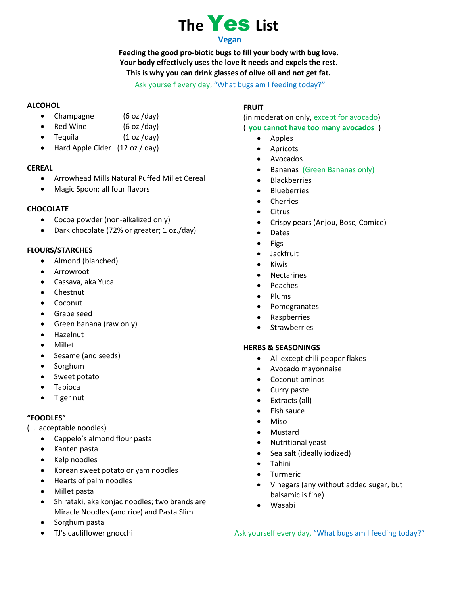## **The** Yes **List Vegan**

**Feeding the good pro-biotic bugs to fill your body with bug love. Your body effectively uses the love it needs and expels the rest. This is why you can drink glasses of olive oil and not get fat.**

#### Ask yourself every day, "What bugs am I feeding today?"

#### **ALCOHOL**

- Champagne (6 oz /day)
- Red Wine (6 oz /day)
- Tequila (1 oz /day)
- Hard Apple Cider (12 oz / day)

#### **CEREAL**

- Arrowhead Mills Natural Puffed Millet Cereal
- Magic Spoon; all four flavors

#### **CHOCOLATE**

- Cocoa powder (non-alkalized only)
- Dark chocolate (72% or greater; 1 oz./day)

#### **FLOURS/STARCHES**

- Almond (blanched)
- Arrowroot
- Cassava, aka Yuca
- Chestnut
- Coconut
- Grape seed
- Green banana (raw only)
- Hazelnut
- Millet
- Sesame (and seeds)
- Sorghum
- Sweet potato
- Tapioca
- Tiger nut

#### **"FOODLES"**

- ( …acceptable noodles)
	- Cappelo's almond flour pasta
	- Kanten pasta
	- Kelp noodles
	- Korean sweet potato or yam noodles
	- Hearts of palm noodles
	- Millet pasta
	- Shirataki, aka konjac noodles; two brands are Miracle Noodles (and rice) and Pasta Slim
	- Sorghum pasta
	- TJ's cauliflower gnocchi

#### **FRUIT**

(in moderation only, except for avocado) ( **you cannot have too many avocados** )

- Apples
- Apricots
- Avocados
- Bananas (Green Bananas only)
- Blackberries
- Blueberries
- Cherries
- Citrus
- Crispy pears (Anjou, Bosc, Comice)
- Dates
- Figs
- Jackfruit
- Kiwis
- Nectarines
- Peaches
- Plums
- Pomegranates
- **Raspberries**
- Strawberries

#### **HERBS & SEASONINGS**

- All except chili pepper flakes
- Avocado mayonnaise
- Coconut aminos
- Curry paste
- Extracts (all)
- Fish sauce
- Miso
- Mustard
- Nutritional yeast
- Sea salt (ideally iodized)
- Tahini
- **Turmeric**
- Vinegars (any without added sugar, but balsamic is fine)
- Wasabi

Ask yourself every day, "What bugs am I feeding today?"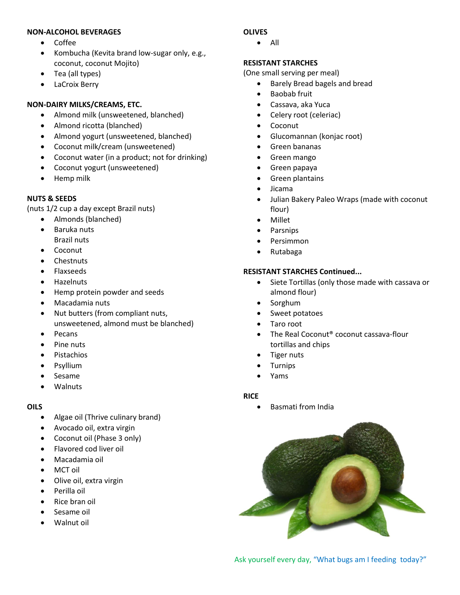#### **NON-ALCOHOL BEVERAGES**

- Coffee
- Kombucha (Kevita brand low-sugar only, e.g., coconut, coconut Mojito)
- Tea (all types)
- LaCroix Berry

#### **NON-DAIRY MILKS/CREAMS, ETC.**

- Almond milk (unsweetened, blanched)
- Almond ricotta (blanched)
- Almond yogurt (unsweetened, blanched)
- Coconut milk/cream (unsweetened)
- Coconut water (in a product; not for drinking)
- Coconut yogurt (unsweetened)
- Hemp milk

#### **NUTS & SEEDS**

(nuts 1/2 cup a day except Brazil nuts)

- Almonds (blanched) • Baruka nuts
	- Brazil nuts
- Coconut
- **Chestnuts**
- Flaxseeds
- **Hazelnuts**
- Hemp protein powder and seeds
- Macadamia nuts
- Nut butters (from compliant nuts, unsweetened, almond must be blanched)
- **Pecans**
- Pine nuts
- Pistachios
- **Psyllium**
- Sesame
- Walnuts

#### **OILS**

- Algae oil (Thrive culinary brand)
- Avocado oil, extra virgin
- Coconut oil (Phase 3 only)
- Flavored cod liver oil
- Macadamia oil
- MCT oil
- Olive oil, extra virgin
- Perilla oil
- Rice bran oil
- Sesame oil
- Walnut oil

#### **OLIVES**

• All

#### **RESISTANT STARCHES**

(One small serving per meal)

- Barely Bread bagels and bread
- Baobab fruit
- Cassava, aka Yuca
- Celery root (celeriac)
- Coconut
- Glucomannan (konjac root)
- Green bananas
- Green mango
- Green papaya
- Green plantains
- Jicama
- Julian Bakery Paleo Wraps (made with coconut flour)
- Millet
- **Parsnips**
- Persimmon
- Rutabaga

#### **RESISTANT STARCHES Continued...**

- Siete Tortillas (only those made with cassava or almond flour)
- Sorghum
- Sweet potatoes
- Taro root
- The Real Coconut<sup>®</sup> coconut cassava-flour tortillas and chips
- **Tiger nuts**
- **Turnips**
- Yams

#### **RICE**

• Basmati from India



Ask yourself every day, "What bugs am I feeding today?"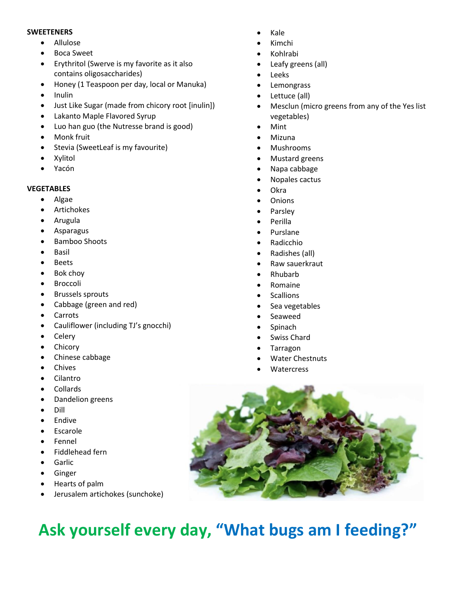#### **SWEETENERS**

- Allulose
- Boca Sweet
- Erythritol (Swerve is my favorite as it also contains oligosaccharides)
- Honey (1 Teaspoon per day, local or Manuka)
- Inulin
- Just Like Sugar (made from chicory root [inulin])
- Lakanto Maple Flavored Syrup
- Luo han guo (the Nutresse brand is good)
- Monk fruit
- Stevia (SweetLeaf is my favourite)
- **Xylitol**
- Yacón

#### **VEGETABLES**

- Algae
- **Artichokes**
- Arugula
- Asparagus
- Bamboo Shoots
- **Basil**
- **Beets**
- Bok choy
- **Broccoli**
- Brussels sprouts
- Cabbage (green and red)
- Carrots
- Cauliflower (including TJ's gnocchi)
- Celery
- **Chicory**
- Chinese cabbage
- Chives
- Cilantro
- **Collards**
- Dandelion greens
- Dill
- **Endive**
- **Escarole**
- **Fennel**
- Fiddlehead fern
- **Garlic**
- **Ginger**
- Hearts of palm
- Jerusalem artichokes (sunchoke)
- Kale
- Kimchi
- Kohlrabi
- Leafy greens (all)
- Leeks
- **Lemongrass**
- Lettuce (all)
- Mesclun (micro greens from any of the Yes list vegetables)
- Mint
- Mizuna
- Mushrooms
- Mustard greens
- Napa cabbage
- Nopales cactus
- Okra
- Onions
- Parsley
- Perilla
- Purslane
- Radicchio
- Radishes (all)
- Raw sauerkraut
- Rhubarb
- Romaine
- **Scallions**
- Sea vegetables
- Seaweed
- **Spinach**
- Swiss Chard
- Tarragon
- Water Chestnuts
- **Watercress**



## **Ask yourself every day, "What bugs am I feeding?"**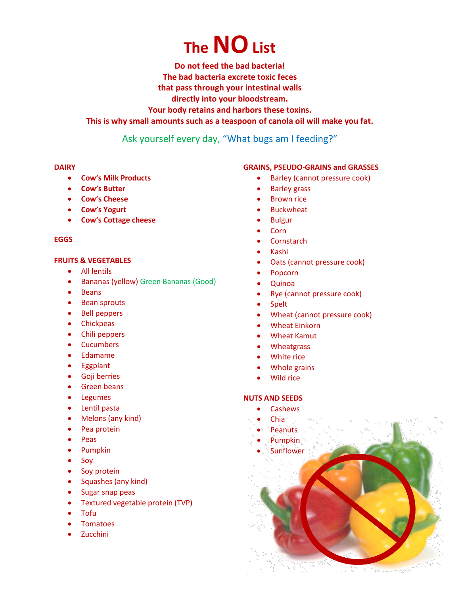# **The NOList**

**Do not feed the bad bacteria!**

**The bad bacteria excrete toxic feces**

**that pass through your intestinal walls**

**directly into your bloodstream.**

**Your body retains and harbors these toxins.**

#### **This is why small amounts such as a teaspoon of canola oil will make you fat.**

### Ask yourself every day, "What bugs am I feeding?"

#### **DAIRY**

- **Cow's Milk Products**
- **Cow's Butter**
- **Cow's Cheese**
- **Cow's Yogurt**
- **Cow's Cottage cheese**

#### **EGGS**

#### **FRUITS & VEGETABLES**

- All lentils
- Bananas (yellow) Green Bananas (Good)
- Beans
- Bean sprouts
- Bell peppers
- Chickpeas
- Chili peppers
- Cucumbers
- Edamame
- Eggplant
- Goji berries
- Green beans
- Legumes
- Lentil pasta
- Melons (any kind)
- Pea protein
- Peas
- Pumpkin
- Soy
- Soy protein
- Squashes (any kind)
- Sugar snap peas
- Textured vegetable protein (TVP)
- Tofu
- **Tomatoes**
- **Zucchini**

#### **GRAINS, PSEUDO-GRAINS and GRASSES**

- Barley (cannot pressure cook)
- **Barley grass**
- **Brown rice**
- **Buckwheat**
- Bulgur
- Corn
- Cornstarch
- Kashi
- Oats (cannot pressure cook)
- Popcorn
- Quinoa
- Rye (cannot pressure cook)
- Spelt
- Wheat (cannot pressure cook)
- Wheat Einkorn
- Wheat Kamut
- **Wheatgrass**
- White rice
- Whole grains
- Wild rice

#### **NUTS AND SEEDS**

- Cashews
- Chia
- **Peanuts**
- Pumpkin
- **Sunflower**